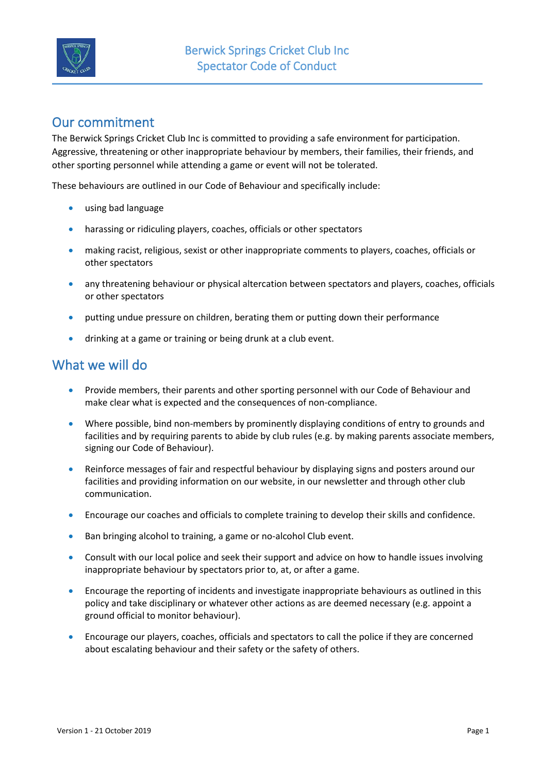

## Our commitment

The Berwick Springs Cricket Club Inc is committed to providing a safe environment for participation. Aggressive, threatening or other inappropriate behaviour by members, their families, their friends, and other sporting personnel while attending a game or event will not be tolerated.

These behaviours are outlined in our Code of Behaviour and specifically include:

- using bad language
- harassing or ridiculing players, coaches, officials or other spectators
- making racist, religious, sexist or other inappropriate comments to players, coaches, officials or other spectators
- any threatening behaviour or physical altercation between spectators and players, coaches, officials or other spectators
- putting undue pressure on children, berating them or putting down their performance
- drinking at a game or training or being drunk at a club event.

## What we will do

- Provide members, their parents and other sporting personnel with our Code of Behaviour and make clear what is expected and the consequences of non-compliance.
- Where possible, bind non-members by prominently displaying conditions of entry to grounds and facilities and by requiring parents to abide by club rules (e.g. by making parents associate members, signing our Code of Behaviour).
- Reinforce messages of fair and respectful behaviour by displaying signs and posters around our facilities and providing information on our website, in our newsletter and through other club communication.
- Encourage our coaches and officials to complete training to develop their skills and confidence.
- Ban bringing alcohol to training, a game or no-alcohol Club event.
- Consult with our local police and seek their support and advice on how to handle issues involving inappropriate behaviour by spectators prior to, at, or after a game.
- Encourage the reporting of incidents and investigate inappropriate behaviours as outlined in this policy and take disciplinary or whatever other actions as are deemed necessary (e.g. appoint a ground official to monitor behaviour).
- Encourage our players, coaches, officials and spectators to call the police if they are concerned about escalating behaviour and their safety or the safety of others.